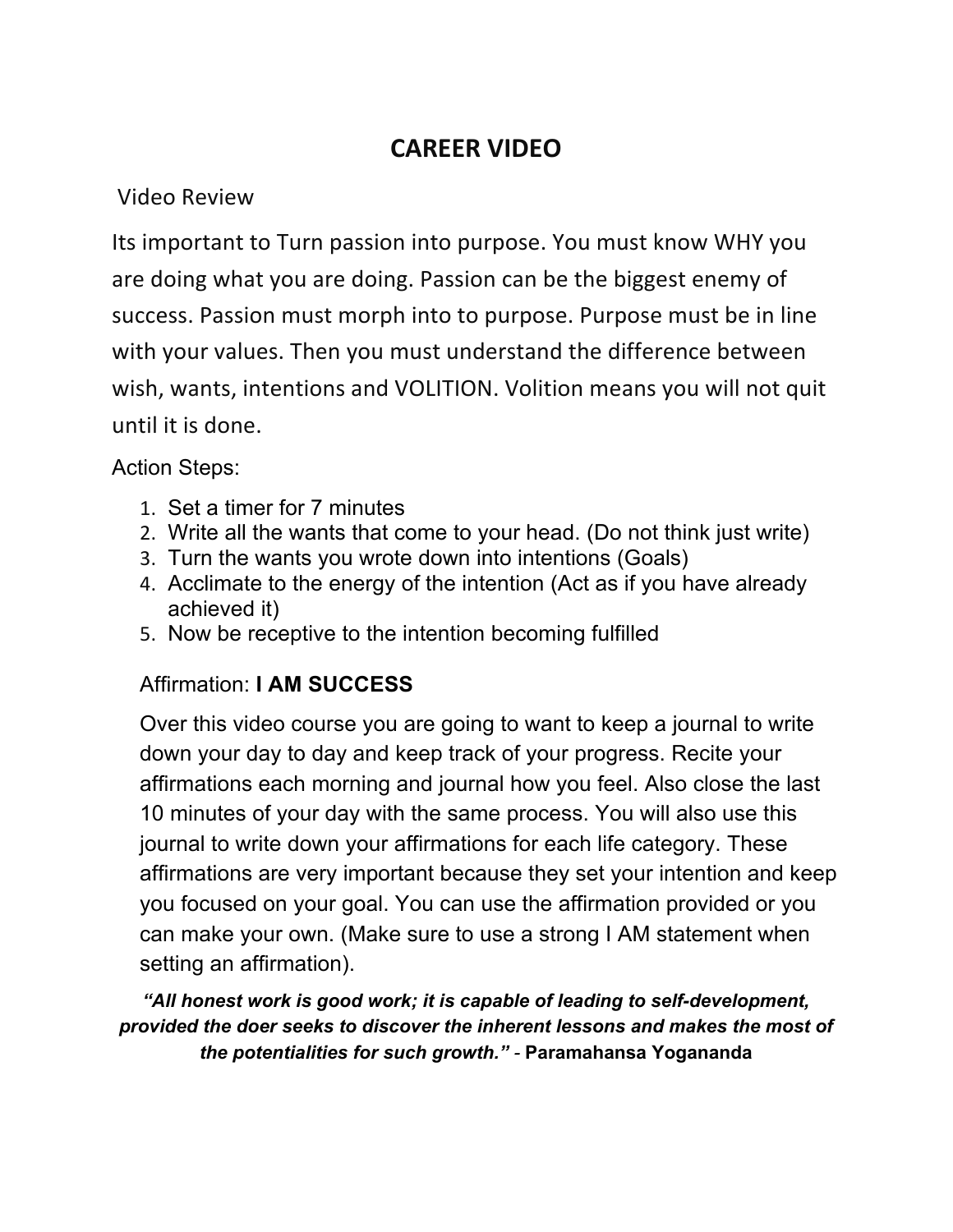## **CAREER VIDEO**

## Video Review

Its important to Turn passion into purpose. You must know WHY you are doing what you are doing. Passion can be the biggest enemy of success. Passion must morph into to purpose. Purpose must be in line with your values. Then you must understand the difference between wish, wants, intentions and VOLITION. Volition means you will not quit until it is done.

## Action Steps:

- 1. Set a timer for 7 minutes
- 2. Write all the wants that come to your head. (Do not think just write)
- 3. Turn the wants you wrote down into intentions (Goals)
- 4. Acclimate to the energy of the intention (Act as if you have already achieved it)
- 5. Now be receptive to the intention becoming fulfilled

## Affirmation: **I AM SUCCESS**

Over this video course you are going to want to keep a journal to write down your day to day and keep track of your progress. Recite your affirmations each morning and journal how you feel. Also close the last 10 minutes of your day with the same process. You will also use this journal to write down your affirmations for each life category. These affirmations are very important because they set your intention and keep you focused on your goal. You can use the affirmation provided or you can make your own. (Make sure to use a strong I AM statement when setting an affirmation).

*"All honest work is good work; it is capable of leading to self-development, provided the doer seeks to discover the inherent lessons and makes the most of the potentialities for such growth." -* **Paramahansa Yogananda**